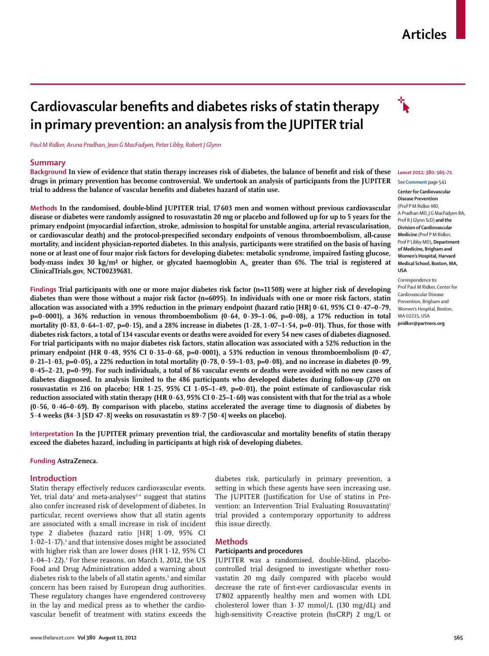## **Articles**

# **Cardiovascular benefits and diabetes risks of statin therapy in primary prevention: an analysis from the JUPITER trial**

*Paul M Ridker, Aruna Pradhan, Jean G MacFadyen, Peter Libby, Robert J Glynn*

#### **Summary**

Background In view of evidence that statin therapy increases risk of diabetes, the balance of benefit and risk of these *Lancet* 2012; 380: 565-71 **drugs in primary prevention has become controversial. We undertook an analysis of participants from the JUPITER**  trial to address the balance of vascular benefits and diabetes hazard of statin use.

**Methods In the randomised, double-blind JUPITER trial, 17 603 men and women without previous cardiovascular disease or diabetes were randomly assigned to rosuvastatin 20 mg or placebo and followed up for up to 5 years for the primary endpoint (myocardial infarction, stroke, admission to hospital for unstable angina, arterial revascularisation,**  or cardiovascular death) and the protocol-prespecified secondary endpoints of venous thromboembolism, all-cause mortality, and incident physician-reported diabetes. In this analysis, participants were stratified on the basis of having **none or at least one of four major risk factors for developing diabetes: metabolic syndrome, impaired fasting glucose,**  body-mass index 30 kg/m<sup>2</sup> or higher, or glycated haemoglobin A<sub>1c</sub> greater than 6%. The trial is registered at **ClinicalTrials.gov, NCT00239681.**

**Findings Trial participants with one or more major diabetes risk factor (n=11 508) were at higher risk of developing diabetes than were those without a major risk factor (n=6095). In individuals with one or more risk factors, statin allocation was associated with a 39% reduction in the primary endpoint (hazard ratio [HR] 0·61, 95% CI 0·47–0·79, p=0·0001), a 36% reduction in venous thromboembolism (0·64, 0·39–1·06, p=0·08), a 17% reduction in total mortality (0·83, 0·64–1·07, p=0·15), and a 28% increase in diabetes (1·28, 1·07–1·54, p=0·01). Thus, for those with diabetes risk factors, a total of 134 vascular events or deaths were avoided for every 54 new cases of diabetes diagnosed. For trial participants with no major diabetes risk factors, statin allocation was associated with a 52% reduction in the primary endpoint (HR 0·48, 95% CI 0·33–0·68, p=0·0001), a 53% reduction in venous thromboembolism (0·47, 0·21–1·03, p=0·05), a 22% reduction in total mortality (0·78, 0·59–1·03, p=0·08), and no increase in diabetes (0·99, 0·45–2·21, p=0·99). For such individuals, a total of 86 vascular events or deaths were avoided with no new cases of diabetes diagnosed. In analysis limited to the 486 participants who developed diabetes during follow-up (270 on rosuvastatin** *vs* **216 on placebo; HR 1·25, 95% CI 1·05–1·49, p=0·01), the point estimate of cardiovascular risk reduction associated with statin therapy (HR 0·63, 95% CI 0·25–1·60) was consistent with that for the trial as a whole (0·56, 0·46–0·69). By comparison with placebo, statins accelerated the average time to diagnosis of diabetes by 5·4 weeks (84·3 [SD 47·8] weeks on rosuvastatin** *vs* **89·7 [50·4] weeks on placebo).**

Interpretation In the JUPITER primary prevention trial, the cardiovascular and mortality benefits of statin therapy **exceed the diabetes hazard, including in participants at high risk of developing diabetes.**

#### **Funding AstraZeneca.**

#### **Introduction**

Statin therapy effectively reduces cardiovascular events. Yet, trial data $^{\scriptscriptstyle 1}$  and meta-analyses $^{\scriptscriptstyle 2\text{-}4}$  suggest that statins also confer increased risk of development of diabetes. In particular, recent overviews show that all statin agents are associated with a small increase in risk of incident type 2 diabetes (hazard ratio [HR] 1·09, 95% CI  $1.02 - 1.17$ ),<sup>3</sup> and that intensive doses might be associated with higher risk than are lower doses (HR 1·12, 95% CI  $1.04–1.22$ ). $\cdot$  For these reasons, on March 1, 2012, the US Food and Drug Administration added a warning about diabetes risk to the labels of all statin agents,<sup>5</sup> and similar concern has been raised by European drug authorities. These regulatory changes have engendered controversy in the lay and medical press as to whether the cardiovascular benefit of treatment with statins exceeds the

diabetes risk, particularly in primary prevention, a setting in which these agents have seen increasing use. The JUPITER (Justification for Use of statins in Prevention: an Intervention Trial Evaluating Rosuvastatin)<sup>1</sup> trial provided a contemporary opportunity to address this issue directly.

#### **Methods**

#### **Participants and procedures**

JUPITER was a randomised, double-blind, placebocontrolled trial designed to investigate whether rosuvastatin 20 mg daily compared with placebo would decrease the rate of first-ever cardiovascular events in 17 802 apparently healthy men and women with LDL cholesterol lower than 3·37 mmol/L (130 mg/dL) and high-sensitivity C-reactive protein (hsCRP) 2 mg/L or



See **Comment** page 541

#### **Center for Cardiovascular Disease Prevention** (Prof P M Ridker MD, A Pradhan MD, J G MacFadyen BA, Prof R J Glynn ScD) **and the Division of Cardiovascular Medicine** (Prof P M Ridker, Prof P Libby MD)**, Department of Medicine, Brigham and Women's Hospital, Harvard Medical School, Boston, MA, USA**

Correspondence to: Prof Paul M Ridker, Center for Cardiovascular Disease Prevention, Brigham and Women's Hospital, Boston, MA 02215, USA **pridker@partners.org**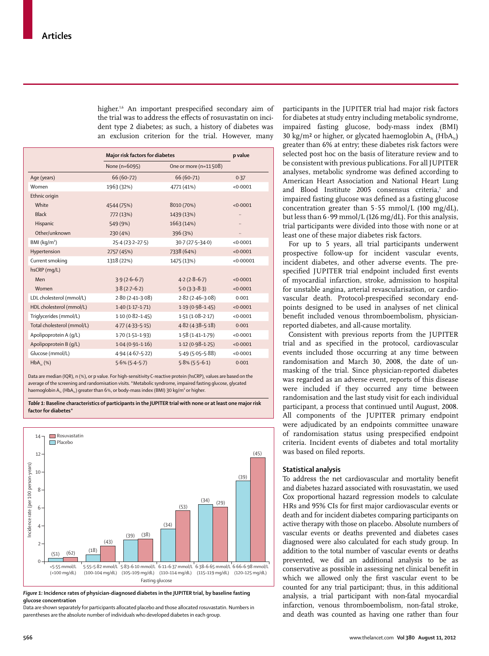higher.<sup>1,6</sup> An important prespecified secondary aim of the trial was to address the effects of rosuvastatin on incident type 2 diabetes; as such, a history of diabetes was an exclusion criterion for the trial. However, many

|                            | Major risk factors for diabetes | p value               |           |
|----------------------------|---------------------------------|-----------------------|-----------|
|                            | None (n=6095)                   | One or more (n=11508) |           |
| Age (years)                | $66(60-72)$                     | $66(60 - 71)$         | 0.37      |
| Women                      | 1963 (32%)                      | 4771 (41%)            | < 0.0001  |
| Ethnic origin              |                                 |                       |           |
| White                      | 4544 (75%)                      | 8010 (70%)            | < 0.0001  |
| <b>Black</b>               | 772 (13%)                       | 1439 (13%)            |           |
| Hispanic                   | 549 (9%)                        | 1663 (14%)            |           |
| Other/unknown              | 230 (4%)                        | 396 (3%)              |           |
| BMI $(kq/m2)$              | $25.4(23.2 - 27.5)$             | 30-7 (27-5-34-0)      | < 0.0001  |
| Hypertension               | 2757 (45%)                      | 7338 (64%)            | < 0.0001  |
| Current smoking            | 1318 (22%)                      | 1475 (13%)            | < 0.00001 |
| hsCRP (mq/L)               |                                 |                       |           |
| Men                        | $3.9(2.6-6.7)$                  | $4.2(2.8-6.7)$        | < 0.0001  |
| Women                      | $3.8(2.7-6.2)$                  | $5.0(3.3-8.3)$        | < 0.0001  |
| LDL cholesterol (mmol/L)   | $2.80(2.41-3.08)$               | $2.82(2.46-3.08)$     | 0.001     |
| HDL cholesterol (mmol/L)   | $1.40(1.17-1.71)$               | $1.19(0.98 - 1.45)$   | < 0.0001  |
| Triglycerides (mmol/L)     | $1.10(0.82 - 1.45)$             | $1.51(1.08 - 2.17)$   | < 0.0001  |
| Total cholesterol (mmol/L) | $4.77(4.33 - 5.15)$             | $4.82(4.38-5.18)$     | 0.001     |
| Apolipoprotein A (q/L)     | $1.70(1.51-1.93)$               | $1.58(1.41 - 1.79)$   | < 0.0001  |
| Apolipoprotein B (q/L)     | $1.04(0.91-1.16)$               | $1.12(0.98-1.25)$     | < 0.0001  |
| Glucose (mmol/L)           | $4.94(4.67 - 5.22)$             | $5.49(5.05 - 5.88)$   | < 0.0001  |
| $HbA_{1c}$ (%)             | $5.6\%$ ( $5.4-5.7$ )           | $5.8\%$ (5.5-6.1)     | 0.001     |

Data are median (IQR), n (%), or p value. For high-sensitivity C-reactive protein (hsCRP), values are based on the average of the screening and randomisation visits. \*Metabolic syndrome, impaired fasting glucose, glycated haemoglobin  $A_{1c}$  (Hb $A_{1c}$ ) greater than 6%, or body-mass index (BMI) 30 kg/m<sup>2</sup> or higher.

*Table 1:* **Baseline characteristics of participants in the JUPITER trial with none or at least one major risk factor for diabetes\***



*Figure 1:* **Incidence rates of physician-diagnosed diabetes in the JUPITER trial, by baseline fasting glucose concentration**

Data are shown separately for participants allocated placebo and those allocated rosuvastatin. Numbers in parentheses are the absolute number of individuals who developed diabetes in each group.

participants in the JUPITER trial had major risk factors for diabetes at study entry including metabolic syndrome, impaired fasting glucose, body-mass index (BMI) 30 kg/m<sup>2</sup> or higher, or glycated haemoglobin  $A_i$ . (Hb $A_i$ .) greater than 6% at entry; these diabetes risk factors were selected post hoc on the basis of literature review and to be consistent with previous publications. For all JUPITER analyses, metabolic syndrome was defined according to American Heart Association and National Heart Lung and Blood Institute 2005 consensus criteria,<sup>7</sup> and impaired fasting glucose was defined as a fasting glucose concentration greater than  $5.55$  mmol/L (100 mg/dL), but less than 6·99 mmol/L (126 mg/dL). For this analysis, trial participants were divided into those with none or at least one of these major diabetes risk factors.

For up to 5 years, all trial participants underwent prospective follow-up for incident vascular events, incident diabetes, and other adverse events. The prespecified JUPITER trial endpoint included first events of myocardial infarction, stroke, admission to hospital for unstable angina, arterial revascularisation, or cardiovascular death. Protocol-prespecified secondary endpoints designed to be used in analyses of net clinical benefit included venous thromboembolism, physicianreported diabetes, and all-cause mortality.

Consistent with previous reports from the JUPITER trial and as specified in the protocol, cardiovascular events included those occurring at any time between randomisation and March 30, 2008, the date of unmasking of the trial. Since physician-reported diabetes was regarded as an adverse event, reports of this disease were included if they occurred any time between randomisation and the last study visit for each individual participant, a process that continued until August, 2008. All components of the JUPITER primary endpoint were adjudicated by an endpoints committee unaware of randomisation status using prespecified endpoint criteria. Incident events of diabetes and total mortality was based on filed reports.

### **Statistical analysis**

To address the net cardiovascular and mortality benefit and diabetes hazard associated with rosuvastatin, we used Cox proportional hazard regression models to calculate HRs and 95% CIs for first major cardiovascular events or death and for incident diabetes comparing participants on active therapy with those on placebo. Absolute numbers of vascular events or deaths prevented and diabetes cases diagnosed were also calculated for each study group. In addition to the total number of vascular events or deaths prevented, we did an additional analysis to be as conservative as possible in assessing net clinical benefit in which we allowed only the first vascular event to be counted for any trial participant; thus, in this additional analysis, a trial participant with non-fatal myocardial infarction, venous thrombo embolism, non-fatal stroke, and death was counted as having one rather than four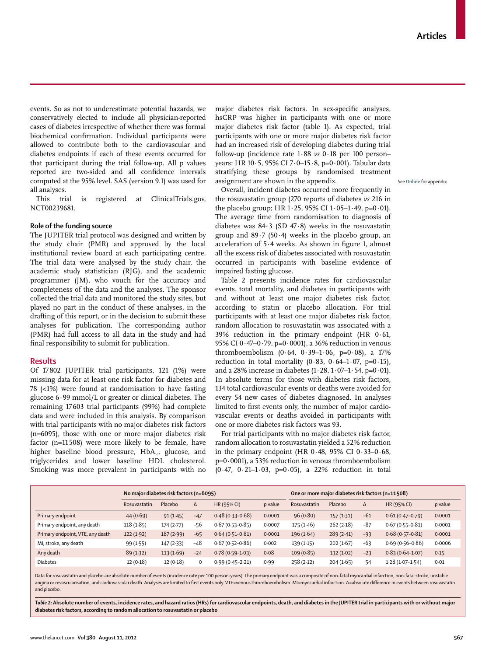events. So as not to underestimate potential hazards, we conservatively elected to include all physician-reported cases of diabetes irrespective of whether there was formal biochemical confirmation. Individual participants were allowed to contribute both to the cardiovascular and diabetes endpoints if each of these events occurred for that participant during the trial follow-up. All p values reported are two-sided and all confidence intervals computed at the 95% level. SAS (version 9.1) was used for all analyses.

This trial is registered at ClinicalTrials.gov, NCT00239681.

#### **Role of the funding source**

The JUPITER trial protocol was designed and written by the study chair (PMR) and approved by the local institutional review board at each participating centre. The trial data were analysed by the study chair, the academic study statistician (RJG), and the academic programmer (JM), who vouch for the accuracy and completeness of the data and the analyses. The sponsor collected the trial data and monitored the study sites, but played no part in the conduct of these analyses, in the drafting of this report, or in the decision to submit these analyses for publication. The corresponding author (PMR) had full access to all data in the study and had final responsibility to submit for publication.

#### **Results**

Of 17 802 JUPITER trial participants, 121 (1%) were missing data for at least one risk factor for diabetes and 78 (<1%) were found at randomisation to have fasting glucose 6·99 mmol/L or greater or clinical diabetes. The remaining 17 603 trial participants (99%) had complete data and were included in this analysis. By comparison with trial participants with no major diabetes risk factors (n=6095), those with one or more major diabetes risk factor (n=11 508) were more likely to be female, have higher baseline blood pressure, HbA<sub>1c</sub>, glucose, and triglycerides and lower baseline HDL cholesterol. Smoking was more prevalent in participants with no major diabetes risk factors. In sex-specific analyses, hsCRP was higher in participants with one or more major diabetes risk factor (table 1). As expected, trial participants with one or more major diabetes risk factor had an increased risk of developing diabetes during trial follow-up (incidence rate 1·88 *vs* 0·18 per 100 person– years; HR 10·5, 95% CI 7·0–15·8, p=0·001). Tabular data stratifying these groups by randomised treatment assignment are shown in the appendix.

Overall, incident diabetes occurred more frequently in the rosuvastatin group (270 reports of diabetes *vs* 216 in the placebo group; HR 1 $\cdot$  25, 95% CI 1 $\cdot$  05–1 $\cdot$ 49, p=0 $\cdot$ 01). The average time from randomisation to diagnosis of diabetes was 84·3 (SD 47·8) weeks in the rosuvastatin group and 89·7 (50·4) weeks in the placebo group, an acceleration of  $5.4$  weeks. As shown in figure 1, almost all the excess risk of diabetes associated with rosuvastatin occurred in participants with baseline evidence of impaired fasting glucose.

Table 2 presents incidence rates for cardiovascular events, total mortality, and diabetes in participants with and without at least one major diabetes risk factor, according to statin or placebo allocation. For trial participants with at least one major diabetes risk factor, random allocation to rosuvastatin was associated with a 39% reduction in the primary endpoint (HR 0·61, 95% CI 0·47–0·79, p=0·0001), a 36% reduction in venous thromboembolism  $(0.64, 0.39-1.06, p=0.08)$ , a 17% reduction in total mortality  $(0.83, 0.64-1.07, p=0.15)$ , and a 28% increase in diabetes  $(1.28, 1.07-1.54, p=0.01)$ . In absolute terms for those with diabetes risk factors, 134 total cardiovascular events or deaths were avoided for every 54 new cases of diabetes diagnosed. In analyses limited to first events only, the number of major cardiovascular events or deaths avoided in participants with one or more diabetes risk factors was 93.

For trial participants with no major diabetes risk factor, random allocation to rosuvastatin yielded a 52% reduction in the primary endpoint (HR  $0.48$ , 95% CI  $0.33-0.68$ , p=0·0001), a 53% reduction in venous thromboembolism (0·47, 0·21–1·03, p=0·05), a 22% reduction in total

|                                  | No major diabetes risk factors (n=6095) |           |       |                     | One or more major diabetes risk factors (n=11508) |              |           |       |                     |         |
|----------------------------------|-----------------------------------------|-----------|-------|---------------------|---------------------------------------------------|--------------|-----------|-------|---------------------|---------|
|                                  | Rosuvastatin                            | Placebo   | Δ     | HR (95% CI)         | p value                                           | Rosuvastatin | Placebo   | Δ     | HR (95% CI)         | p value |
| Primary endpoint                 | 44(0.69)                                | 91(1.45)  | $-47$ | $0.48(0.33 - 0.68)$ | 0.0001                                            | 96(0.80)     | 157(1.31) | $-61$ | $0.61(0.47-0.79)$   | 0.0001  |
| Primary endpoint, any death      | 118(1.85)                               | 174(2.77) | $-56$ | $0.67(0.53 - 0.85)$ | 0.0007                                            | 175(1.46)    | 262(2.18) | $-87$ | $0.67(0.55 - 0.81)$ | 0.0001  |
| Primary endpoint, VTE, any death | 122(1.92)                               | 187(2.99) | $-65$ | $0.64(0.51-0.81)$   | 0.0001                                            | 196(1.64)    | 289(2.41) | $-93$ | $0.68(0.57-0.81)$   | 0.0001  |
| MI, stroke, any death            | 99(1.55)                                | 147(2.33) | $-48$ | $0.67(0.52 - 0.86)$ | 0.002                                             | 139(1.15)    | 202(1.67) | $-63$ | $0.69(0.56 - 0.86)$ | 0.0006  |
| Any death                        | 89(1.32)                                | 113(1.69) | $-24$ | $0.78(0.59-1.03)$   | 0.08                                              | 109(0.85)    | 132(1.02) | $-23$ | $0.83(0.64 - 1.07)$ | 0.15    |
| <b>Diabetes</b>                  | 12(0.18)                                | 12(0.18)  | 0     | $0.99(0.45 - 2.21)$ | 0.99                                              | 258(2.12)    | 204(1.65) | 54    | $1.28(1.07-1.54)$   | 0.01    |

Data for rosuvastatin and placebo are absolute number of events (incidence rate per 100 person-years). The primary endpoint was a composite of non-fatal myocardial infarction, non-fatal stroke, unstable angina or revascularisation, and cardiovascular death. Analyses are limited to first events only VTE=venous thromboembolism. MI=myocardial infarction. Δ=absolute difference in events between rosuvastatin and placebo.

*Table 2:* **Absolute number of events, incidence rates, and hazard ratios (HRs) for cardiovascular endpoints, death, and diabetes in the JUPITER trial in participants with or without major diabetes risk factors, according to random allocation to rosuvastatin or placebo**

See **Online** for appendix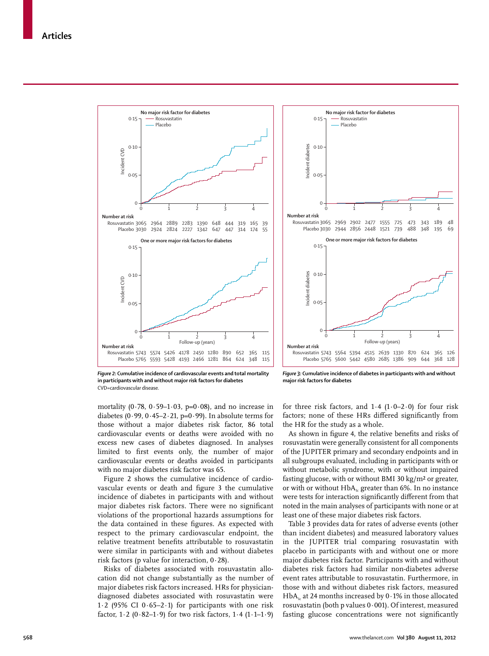



*Figure 2:* **Cumulative incidence of cardiovascular events and total mortality in participants with and without major risk factors for diabetes** CVD=cardiovascular disease.

*Figure 3:* **Cumulative incidence of diabetes in participants with and without major risk factors for diabetes**

mortality (0 $\cdot$ 78, 0 $\cdot$ 59-1 $\cdot$ 03, p=0 $\cdot$ 08), and no increase in diabetes (0 $\cdot$ 99, 0 $\cdot$ 45–2 $\cdot$ 21, p=0 $\cdot$ 99). In absolute terms for those without a major diabetes risk factor, 86 total cardiovascular events or deaths were avoided with no excess new cases of diabetes diagnosed. In analyses limited to first events only, the number of major cardiovascular events or deaths avoided in participants with no major diabetes risk factor was 65.

Figure 2 shows the cumulative incidence of cardiovascular events or death and figure 3 the cumulative incidence of diabetes in participants with and without major diabetes risk factors. There were no significant violations of the proportional hazards assumptions for the data contained in these figures. As expected with respect to the primary cardiovascular endpoint, the relative treatment benefits attributable to rosuvastatin were similar in participants with and without diabetes risk factors (p value for interaction, 0·28).

Risks of diabetes associated with rosuvastatin allocation did not change substantially as the number of major diabetes risk factors increased. HRs for physiciandiagnosed diabetes associated with rosuvastatin were 1·2 (95% CI  $0.65-2.1$ ) for participants with one risk factor,  $1.2$  (0.82–1.9) for two risk factors,  $1.4$  ( $1.1$ – $1.9$ )

for three risk factors, and  $1.4$  ( $1.0-2.0$ ) for four risk factors; none of these HRs differed significantly from the HR for the study as a whole.

As shown in figure 4, the relative benefits and risks of rosuvastatin were generally consistent for all components of the JUPITER primary and secondary endpoints and in all subgroups evaluated, including in participants with or without metabolic syndrome, with or without impaired fasting glucose, with or without BMI 30 kg/m² or greater, or with or without  $HbA_1$ <sub>c</sub> greater than 6%. In no instance were tests for interaction significantly different from that noted in the main analyses of participants with none or at least one of these major diabetes risk factors.

Table 3 provides data for rates of adverse events (other than incident diabetes) and measured laboratory values in the JUPITER trial comparing rosuvastatin with placebo in participants with and without one or more major diabetes risk factor. Participants with and without diabetes risk factors had similar non-diabetes adverse event rates attributable to rosuvastatin. Furthermore, in those with and without diabetes risk factors, measured HbA<sub>1c</sub> at 24 months increased by  $0.1\%$  in those allocated rosuvastatin (both p values 0·001). Of interest, measured fasting glucose concentrations were not significantly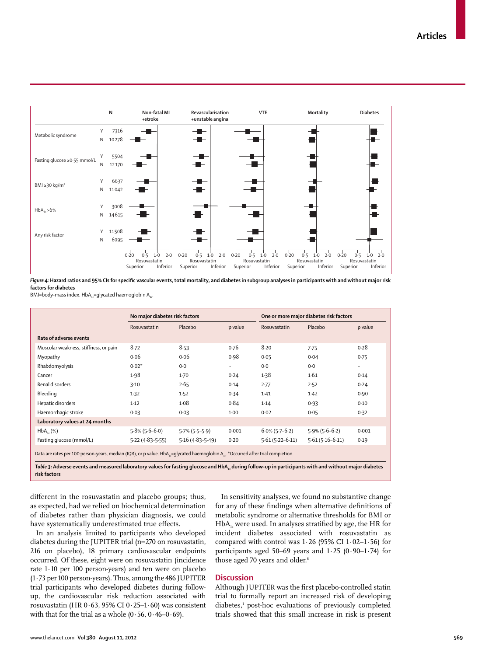

Figure 4: Hazard ratios and 95% CIs for specific vascular events, total mortality, and diabetes in subgroup analyses in participants with and without major risk **factors for diabetes**

BMI=body-mass index. HbA<sub>1c</sub>=glycated haemoglobin A<sub>1c</sub>.

|                                                                                                                                                                      | No major diabetes risk factors |                     |           | One or more major diabetes risk factors |                   |          |
|----------------------------------------------------------------------------------------------------------------------------------------------------------------------|--------------------------------|---------------------|-----------|-----------------------------------------|-------------------|----------|
|                                                                                                                                                                      | Rosuvastatin                   | Placebo             | p value   | Rosuvastatin                            | Placebo           | p value  |
| Rate of adverse events                                                                                                                                               |                                |                     |           |                                         |                   |          |
| Muscular weakness, stiffness, or pain                                                                                                                                | $8-72$                         | 8.53                | 0.76      | 8.20                                    | 7.75              | 0.28     |
| Myopathy                                                                                                                                                             | 0.06                           | 0.06                | 0.98      | 0.05                                    | 0.04              | 0.75     |
| Rhabdomyolysis                                                                                                                                                       | $0.02*$                        | 0.0                 | $\ddotsc$ | 0.0                                     | 0.0               | $\cdots$ |
| Cancer                                                                                                                                                               | 1.98                           | $1-70$              | 0.24      | 1.38                                    | 1.61              | 0.14     |
| Renal disorders                                                                                                                                                      | 3.10                           | 2.65                | 0.14      | 2.77                                    | 2.52              | 0.24     |
| Bleeding                                                                                                                                                             | 1.32                           | 1.52                | 0.34      | 1.41                                    | 1.42              | 0.90     |
| Hepatic disorders                                                                                                                                                    | 1.12                           | 1.08                | 0.84      | 1.14                                    | 0.93              | 0.10     |
| Haemorrhagic stroke                                                                                                                                                  | 0.03                           | 0.03                | $1-00$    | 0.02                                    | 0.05              | 0.32     |
| Laboratory values at 24 months                                                                                                                                       |                                |                     |           |                                         |                   |          |
| $HbA_{1c}$ (%)                                                                                                                                                       | $5.8\%$ (5.6-6.0)              | $5.7\%$ (5.5-5.9)   | 0.001     | $6.0\%$ (5.7–6.2)                       | $5.9\%$ (5.6-6.2) | 0.001    |
| Fasting glucose (mmol/L)                                                                                                                                             | $5.22(4.83 - 5.55)$            | $5.16(4.83 - 5.49)$ | 0.20      | $5.61(5.22 - 6.11)$                     | $5.61(5.16-6.11)$ | 0.19     |
| Data are rates per 100 person-years, median (IQR), or p value. HbA, = qlycated haemoqlobin A, to ecurred after trial completion.                                     |                                |                     |           |                                         |                   |          |
| Table 3: Adverse events and measured laboratory values for fasting glucose and HbA, during follow-up in participants with and without major diabetes<br>risk factors |                                |                     |           |                                         |                   |          |

different in the rosuvastatin and placebo groups; thus, as expected, had we relied on biochemical determination of diabetes rather than physician diagnosis, we could have systematically underestimated true effects.

In an analysis limited to participants who developed diabetes during the JUPITER trial (n=270 on rosuvastatin, 216 on placebo), 18 primary cardiovascular endpoints occurred. Of these, eight were on rosuvastatin (incidence rate 1·10 per 100 person-years) and ten were on placebo (1·73 per 100 person-years). Thus, among the 486 JUPITER trial participants who developed diabetes during followup, the cardiovascular risk reduction associated with rosuvastatin (HR 0·63, 95% CI 0·25–1·60) was consistent with that for the trial as a whole  $(0.56, 0.46-0.69)$ .

In sensitivity analyses, we found no substantive change for any of these findings when alternative definitions of metabolic syndrome or alternative thresholds for BMI or  $HbA<sub>1c</sub>$  were used. In analyses stratified by age, the HR for incident diabetes associated with rosuvastatin as compared with control was  $1.26$  (95% CI  $1.02-1.56$ ) for participants aged 50–69 years and  $1.25$  (0 $.90-1.74$ ) for those aged 70 years and older.<sup>8</sup>

#### **Discussion**

Although JUPITER was the first placebo-controlled statin trial to formally report an increased risk of developing diabetes,<sup>1</sup> post-hoc evaluations of previously completed trials showed that this small increase in risk is present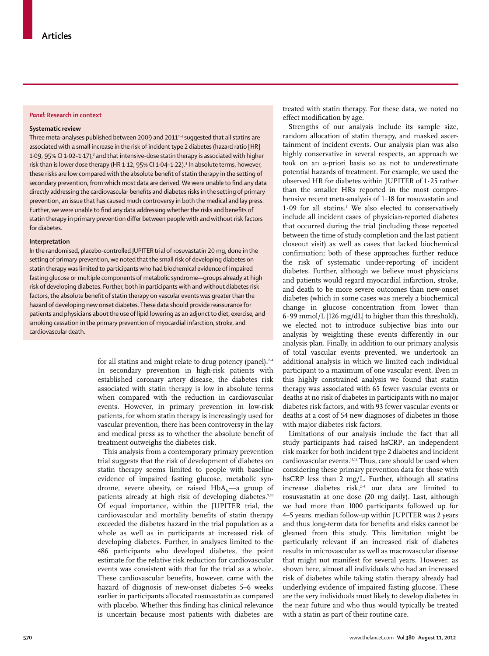#### *Panel:* **Research in context**

#### **Systematic review**

Three meta-analyses published between 2009 and 2011 $^{2-4}$  suggested that all statins are associated with a small increase in the risk of incident type 2 diabetes (hazard ratio [HR] 1·09, 95% CI 1·02–1·17), $^{\text{3}}$  and that intensive-dose statin therapy is associated with higher risk than is lower dose therapy (HR 1·12, 95% CI 1·04–1·22).<sup>4</sup> In absolute terms, however, these risks are low compared with the absolute benefit of statin therapy in the setting of secondary prevention, from which most data are derived. We were unable to find any data directly addressing the cardiovascular benefits and diabetes risks in the setting of primary prevention, an issue that has caused much controversy in both the medical and lay press. Further, we were unable to find any data addressing whether the risks and benefits of statin therapy in primary prevention differ between people with and without risk factors for diabetes.

#### **Interpretation**

In the randomised, placebo-controlled JUPITER trial of rosuvastatin 20 mg, done in the setting of primary prevention, we noted that the small risk of developing diabetes on statin therapy was limited to participants who had biochemical evidence of impaired fasting glucose or multiple components of metabolic syndrome—groups already at high risk of developing diabetes. Further, both in participants with and without diabetes risk factors, the absolute benefit of statin therapy on vascular events was greater than the hazard of developing new onset diabetes. These data should provide reassurance for patients and physicians about the use of lipid lowering as an adjunct to diet, exercise, and smoking cessation in the primary prevention of myocardial infarction, stroke, and cardiovascular death.

> for all statins and might relate to drug potency (panel).<sup>2-4</sup> In secondary prevention in high-risk patients with established coronary artery disease, the diabetes risk associated with statin therapy is low in absolute terms when compared with the reduction in cardiovascular events. However, in primary prevention in low-risk patients, for whom statin therapy is increasingly used for vascular prevention, there has been controversy in the lay and medical press as to whether the absolute benefit of treatment outweighs the diabetes risk.

> This analysis from a contemporary primary prevention trial suggests that the risk of development of diabetes on statin therapy seems limited to people with baseline evidence of impaired fasting glucose, metabolic syndrome, severe obesity, or raised  $HbA<sub>1</sub>$ —a group of patients already at high risk of developing diabetes.<sup>9,10</sup> Of equal importance, within the JUPITER trial, the cardiovascular and mortality benefits of statin therapy exceeded the diabetes hazard in the trial population as a whole as well as in participants at increased risk of developing diabetes. Further, in analyses limited to the 486 participants who developed diabetes, the point estimate for the relative risk reduction for cardiovascular events was consistent with that for the trial as a whole. These cardiovascular benefits, however, came with the hazard of diagnosis of new-onset diabetes 5–6 weeks earlier in participants allocated rosuvastatin as compared with placebo. Whether this finding has clinical relevance is uncertain because most patients with diabetes are

treated with statin therapy. For these data, we noted no effect modification by age.

Strengths of our analysis include its sample size, random allocation of statin therapy, and masked ascertainment of incident events. Our analysis plan was also highly conservative in several respects, an approach we took on an a-priori basis so as not to underestimate potential hazards of treatment. For example, we used the observed HR for diabetes within JUPITER of 1·25 rather than the smaller HRs reported in the most comprehensive recent meta-analysis of 1·18 for rosuvastatin and 1·09 for all statins.3 We also elected to conservatively include all incident cases of physician-reported diabetes that occurred during the trial (including those reported between the time of study completion and the last patient closeout visit) as well as cases that lacked biochemical confirmation; both of these approaches further reduce the risk of systematic under-reporting of incident diabetes. Further, although we believe most physicians and patients would regard myocardial infarction, stroke, and death to be more severe outcomes than new-onset diabetes (which in some cases was merely a biochemical change in glucose concentration from lower than  $6.99$  mmol/L [126 mg/dL] to higher than this threshold), we elected not to introduce subjective bias into our analysis by weighting these events differently in our analysis plan. Finally, in addition to our primary analysis of total vascular events prevented, we undertook an additional analysis in which we limited each individual participant to a maximum of one vascular event. Even in this highly constrained analysis we found that statin therapy was associated with 65 fewer vascular events or deaths at no risk of diabetes in participants with no major diabetes risk factors, and with 93 fewer vascular events or deaths at a cost of 54 new diagnoses of diabetes in those with major diabetes risk factors.

Limitations of our analysis include the fact that all study participants had raised hsCRP, an independent risk marker for both incident type 2 diabetes and incident cardiovascular events.11,12 Thus, care should be used when considering these primary prevention data for those with hsCRP less than 2 mg/L. Further, although all statins increase diabetes risk. $24$  our data are limited to rosuvastatin at one dose (20 mg daily). Last, although we had more than 1000 participants followed up for 4–5 years, median follow-up within JUPITER was 2 years and thus long-term data for benefits and risks cannot be gleaned from this study. This limitation might be particularly relevant if an increased risk of diabetes results in microvascular as well as macrovascular disease that might not manifest for several years. However, as shown here, almost all individuals who had an increased risk of diabetes while taking statin therapy already had underlying evidence of impaired fasting glucose. These are the very individuals most likely to develop diabetes in the near future and who thus would typically be treated with a statin as part of their routine care.